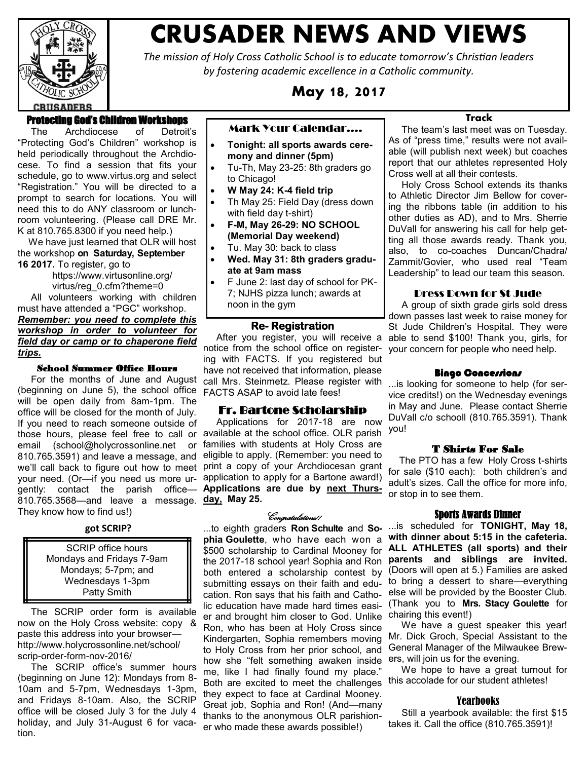

# **CRUSADER NEWS AND VIEWS**

*The mission of Holy Cross Catholic School is to educate tomorrow's Christian leaders by fostering academic excellence in a Catholic community.*

**May 18, 2017**

# Protecting God's Children Workshops

 The Archdiocese of Detroit's "Protecting God's Children" workshop is held periodically throughout the Archdiocese. To find a session that fits your schedule, go to [www.virtus.org a](http://www.virtus.org/)nd select "Registration." You will be directed to a prompt to search for locations. You will need this to do ANY classroom or lunchroom volunteering. (Please call DRE Mr. K at 810.765.8300 if you need help.)

 We have just learned that OLR will host the workshop **on Saturday, September 16 2017.** To register, go to

[https://www.virtusonline.org/](https://www.virtusonline.org/virtus/reg_0.cfm?theme=0) [virtus/reg\\_0.cfm?theme=0](https://www.virtusonline.org/virtus/reg_0.cfm?theme=0)

 All volunteers working with children must have attended a "PGC" workshop. *Remember: you need to complete this workshop in order to volunteer for field day or camp or to chaperone field trips.*

#### School Summer Office Hours

 For the months of June and August (beginning on June 5), the school office will be open daily from 8am-1pm. The office will be closed for the month of July. If you need to reach someone outside of those hours, please feel free to call or available at the school office. OLR parish email (school@holycrossonline.net or 810.765.3591) and leave a message, and we'll call back to figure out how to meet print a copy of your Archdiocesan grant your need. (Or—if you need us more ur-application to apply for a Bartone award!) gently: contact the parish office— **Applications are due by next Thurs-**810.765.3568—and leave a message. **day, May 25.** They know how to find us!)

#### **got SCRIP?**

SCRIP office hours Mondays and Fridays 7-9am Mondays; 5-7pm; and Wednesdays 1-3pm Patty Smith

 The SCRIP order form is available now on the Holy Cross website: copy & paste this address into your browser http://www.holycrossonline.net/school/ scrip-order-form-nov-2016/

 The SCRIP office's summer hours (beginning on June 12): Mondays from 8- 10am and 5-7pm, Wednesdays 1-3pm, and Fridays 8-10am. Also, the SCRIP office will be closed July 3 for the July 4 holiday, and July 31-August 6 for vacation.

## Mark Your Calendar….

- **Tonight: all sports awards ceremony and dinner (5pm)**
- Tu-Th, May 23-25: 8th graders go to Chicago!
- **W May 24: K-4 field trip**
- Th May 25: Field Day (dress down with field day t-shirt)
- **F-M, May 26-29: NO SCHOOL (Memorial Day weekend)**
- Tu. May 30: back to class
- **Wed. May 31: 8th graders graduate at 9am mass**
- F June 2: last day of school for PK-7; NJHS pizza lunch; awards at noon in the gym

#### **Re- Registration**

 After you register, you will receive a able to send \$100! Thank you, girls, for notice from the school office on register-your concern for people who need help. ing with FACTS. If you registered but have not received that information, please call Mrs. Steinmetz. Please register with FACTS ASAP to avoid late fees!

#### Fr. Bartone Scholarship

 Applications for 2017-18 are now families with students at Holy Cross are eligible to apply. (Remember: you need to

#### Congratulations!!

...to eighth graders **Ron Schulte** and **Sophia Goulette**, who have each won a both entered a scholarship contest by submitting essays on their faith and education. Ron says that his faith and Cathoer and brought him closer to God. Unlike Ron, who has been at Holy Cross since Kindergarten, Sophia remembers moving to Holy Cross from her prior school, and how she "felt something awaken inside me, like I had finally found my place." Both are excited to meet the challenges this accolade for our student athletes! they expect to face at Cardinal Mooney. Great job, Sophia and Ron! (And—many thanks to the anonymous OLR parishioner who made these awards possible!)

# **Track**

 The team's last meet was on Tuesday. As of "press time," results were not available (will publish next week) but coaches report that our athletes represented Holy Cross well at all their contests.

 Holy Cross School extends its thanks to Athletic Director Jim Bellow for covering the ribbons table (in addition to his other duties as AD), and to Mrs. Sherrie DuVall for answering his call for help getting all those awards ready. Thank you, also, to co-coaches Duncan/Chadra/ Zammit/Govier, who used real "Team Leadership" to lead our team this season.

#### Dress Down for St Jude

 A group of sixth grade girls sold dress down passes last week to raise money for St Jude Children's Hospital. They were

#### **Bingo Concessions**

...is looking for someone to help (for service credits!) on the Wednesday evenings in May and June. Please contact Sherrie DuVall c/o schooll (810.765.3591). Thank you!

## T Shirts For Sale

 The PTO has a few Holy Cross t-shirts for sale (\$10 each): both children's and adult's sizes. Call the office for more info, or stop in to see them.

#### Sports Awards Dinner

\$500 scholarship to Cardinal Mooney for **ALL ATHLETES (all sports) and their**  the 2017-18 school year! Sophia and Ron **parents and siblings are invited.**  lic education have made hard times easi-(Thank you to **Mrs. Stacy Goulette** for ...is scheduled for **TONIGHT, May 18, with dinner about 5:15 in the cafeteria.** (Doors will open at 5.) Families are asked to bring a dessert to share—everything else will be provided by the Booster Club. chairing this event!)

> We have a guest speaker this year! Mr. Dick Groch, Special Assistant to the General Manager of the Milwaukee Brewers, will join us for the evening.

> We hope to have a great turnout for

#### Yearbooks

 Still a yearbook available: the first \$15 takes it. Call the office (810.765.3591)!